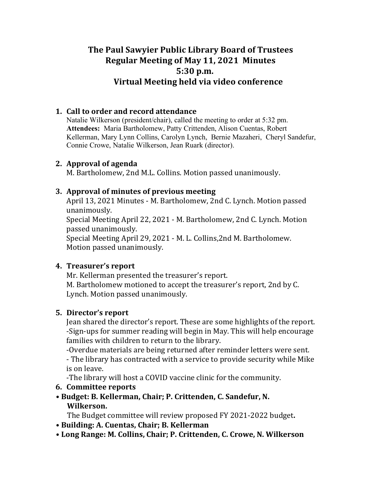# **The Paul Sawyier Public Library Board of Trustees Regular Meeting of May 11, 2021 Minutes 5:30 p.m. Virtual Meeting held via video conference**

### **1. Call to order and record attendance**

Natalie Wilkerson (president/chair), called the meeting to order at 5:32 pm. **Attendees:** Maria Bartholomew, Patty Crittenden, Alison Cuentas, Robert Kellerman, Mary Lynn Collins, Carolyn Lynch, Bernie Mazaheri, Cheryl Sandefur, Connie Crowe, Natalie Wilkerson, Jean Ruark (director).

### **2.** Approval of agenda

M. Bartholomew, 2nd M.L. Collins. Motion passed unanimously.

### **3. Approval of minutes of previous meeting**

April 13, 2021 Minutes - M. Bartholomew, 2nd C. Lynch. Motion passed unanimously. 

Special Meeting April 22, 2021 - M. Bartholomew, 2nd C. Lynch. Motion passed unanimously.

Special Meeting April 29, 2021 - M. L. Collins, 2nd M. Bartholomew. Motion passed unanimously.

### **4.** Treasurer's report

Mr. Kellerman presented the treasurer's report. M. Bartholomew motioned to accept the treasurer's report, 2nd by C. Lynch. Motion passed unanimously.

### **5.** Director's report

Jean shared the director's report. These are some highlights of the report. -Sign-ups for summer reading will begin in May. This will help encourage families with children to return to the library.

-Overdue materials are being returned after reminder letters were sent.

- The library has contracted with a service to provide security while Mike is on leave.

-The library will host a COVID vaccine clinic for the community.

### **6.** Committee reports

**• Budget: B. Kellerman, Chair; P. Crittenden, C. Sandefur, N. Wilkerson.** 

The Budget committee will review proposed FY 2021-2022 budget.

- **• Building: A. Cuentas, Chair; B. Kellerman**
- **• Long Range: M. Collins, Chair; P. Crittenden, C. Crowe, N. Wilkerson**